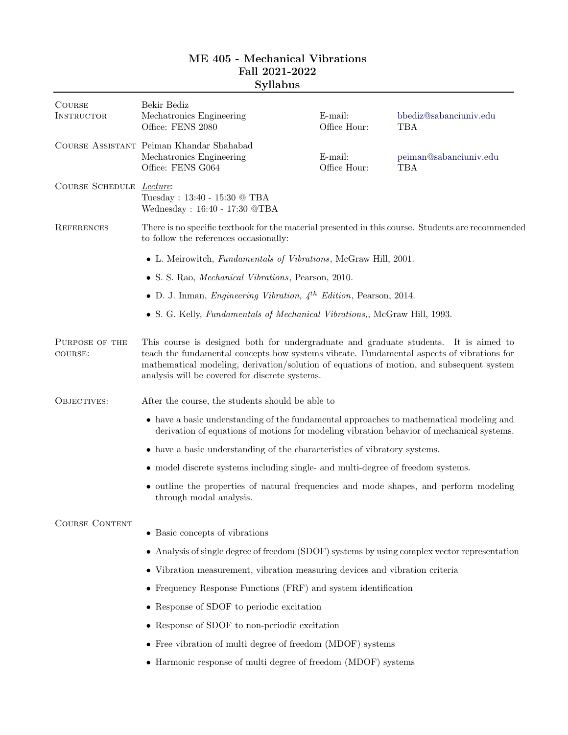| <b>COURSE</b><br><b>INSTRUCTOR</b> | Bekir Bediz<br>Mechatronics Engineering<br>Office: FENS 2080                                                                                                                                                                                                                                                                    | E-mail:<br>Office Hour: | bbediz@sabanciuniv.edu<br><b>TBA</b> |  |
|------------------------------------|---------------------------------------------------------------------------------------------------------------------------------------------------------------------------------------------------------------------------------------------------------------------------------------------------------------------------------|-------------------------|--------------------------------------|--|
|                                    | COURSE ASSISTANT Peiman Khandar Shahabad<br>Mechatronics Engineering<br>Office: FENS G064                                                                                                                                                                                                                                       | E-mail:<br>Office Hour: | peiman@sabanciuniv.edu<br>TBA        |  |
| COURSE SCHEDULE Lecture:           | Tuesday: 13:40 - 15:30 @ TBA<br>Wednesday: 16:40 - 17:30 @TBA                                                                                                                                                                                                                                                                   |                         |                                      |  |
| <b>REFERENCES</b>                  | There is no specific textbook for the material presented in this course. Students are recommended<br>to follow the references occasionally:                                                                                                                                                                                     |                         |                                      |  |
|                                    | • L. Meirowitch, Fundamentals of Vibrations, McGraw Hill, 2001.                                                                                                                                                                                                                                                                 |                         |                                      |  |
|                                    | • S. S. Rao, <i>Mechanical Vibrations</i> , Pearson, 2010.                                                                                                                                                                                                                                                                      |                         |                                      |  |
|                                    | • D. J. Inman, <i>Engineering Vibration</i> , $4^{th}$ <i>Edition</i> , Pearson, 2014.                                                                                                                                                                                                                                          |                         |                                      |  |
|                                    | • S. G. Kelly, Fundamentals of Mechanical Vibrations,, McGraw Hill, 1993.                                                                                                                                                                                                                                                       |                         |                                      |  |
| PURPOSE OF THE<br>COURSE:          | This course is designed both for undergraduate and graduate students. It is aimed to<br>teach the fundamental concepts how systems vibrate. Fundamental aspects of vibrations for<br>mathematical modeling, derivation/solution of equations of motion, and subsequent system<br>analysis will be covered for discrete systems. |                         |                                      |  |
| OBJECTIVES:                        | After the course, the students should be able to                                                                                                                                                                                                                                                                                |                         |                                      |  |
|                                    | • have a basic understanding of the fundamental approaches to mathematical modeling and<br>derivation of equations of motions for modeling vibration behavior of mechanical systems.                                                                                                                                            |                         |                                      |  |
|                                    | • have a basic understanding of the characteristics of vibratory systems.                                                                                                                                                                                                                                                       |                         |                                      |  |
|                                    | • model discrete systems including single- and multi-degree of freedom systems.                                                                                                                                                                                                                                                 |                         |                                      |  |
|                                    | • outline the properties of natural frequencies and mode shapes, and perform modeling<br>through modal analysis.                                                                                                                                                                                                                |                         |                                      |  |
| <b>COURSE CONTENT</b>              | • Basic concepts of vibrations                                                                                                                                                                                                                                                                                                  |                         |                                      |  |
|                                    | • Analysis of single degree of freedom (SDOF) systems by using complex vector representation                                                                                                                                                                                                                                    |                         |                                      |  |
|                                    | • Vibration measurement, vibration measuring devices and vibration criteria                                                                                                                                                                                                                                                     |                         |                                      |  |
|                                    | • Frequency Response Functions (FRF) and system identification                                                                                                                                                                                                                                                                  |                         |                                      |  |
|                                    | • Response of SDOF to periodic excitation                                                                                                                                                                                                                                                                                       |                         |                                      |  |
|                                    | • Response of SDOF to non-periodic excitation                                                                                                                                                                                                                                                                                   |                         |                                      |  |
|                                    | • Free vibration of multi degree of freedom (MDOF) systems                                                                                                                                                                                                                                                                      |                         |                                      |  |
|                                    | • Harmonic response of multi degree of freedom (MDOF) systems                                                                                                                                                                                                                                                                   |                         |                                      |  |

## ME 405 - Mechanical Vibrations Fall 2021-2022 Syllabus